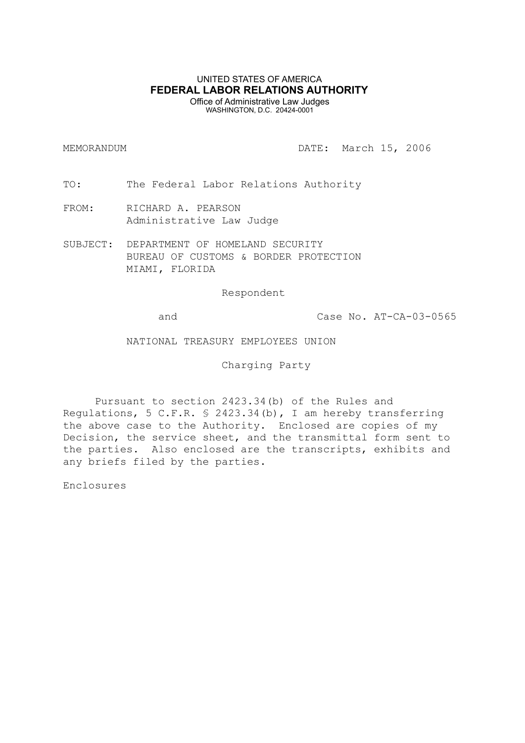# UNITED STATES OF AMERICA **FEDERAL LABOR RELATIONS AUTHORITY** Office of Administrative Law Judges

WASHINGTON, D.C. 20424-0001

MEMORANDUM DATE: March 15, 2006

TO: The Federal Labor Relations Authority

- FROM: RICHARD A. PEARSON Administrative Law Judge
- SUBJECT: DEPARTMENT OF HOMELAND SECURITY BUREAU OF CUSTOMS & BORDER PROTECTION MIAMI, FLORIDA

Respondent

and Case No. AT-CA-03-0565

NATIONAL TREASURY EMPLOYEES UNION

Charging Party

Pursuant to section 2423.34(b) of the Rules and Regulations, 5 C.F.R. § 2423.34(b), I am hereby transferring the above case to the Authority. Enclosed are copies of my Decision, the service sheet, and the transmittal form sent to the parties. Also enclosed are the transcripts, exhibits and any briefs filed by the parties.

Enclosures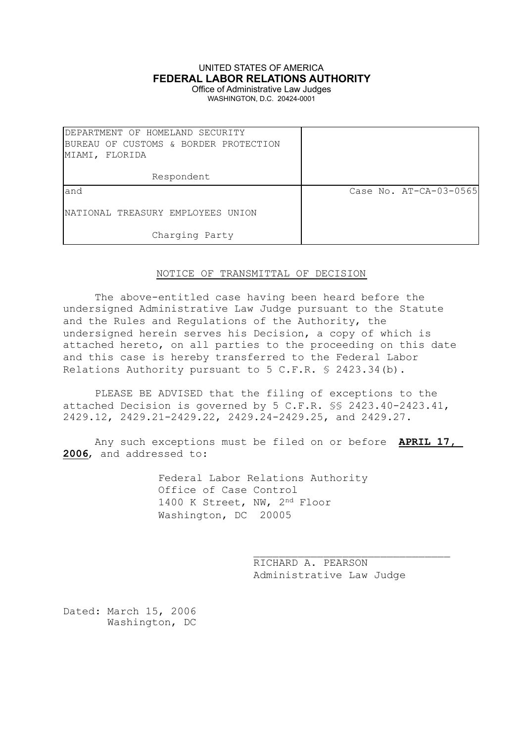# UNITED STATES OF AMERICA **FEDERAL LABOR RELATIONS AUTHORITY**

Office of Administrative Law Judges WASHINGTON, D.C. 20424-0001

| DEPARTMENT OF HOMELAND SECURITY       |                        |
|---------------------------------------|------------------------|
| BUREAU OF CUSTOMS & BORDER PROTECTION |                        |
| MIAMI, FLORIDA                        |                        |
|                                       |                        |
| Respondent                            |                        |
| land                                  | Case No. AT-CA-03-0565 |
| INATIONAL TREASURY EMPLOYEES UNION    |                        |
| Charging Party                        |                        |

# NOTICE OF TRANSMITTAL OF DECISION

The above-entitled case having been heard before the undersigned Administrative Law Judge pursuant to the Statute and the Rules and Regulations of the Authority, the undersigned herein serves his Decision, a copy of which is attached hereto, on all parties to the proceeding on this date and this case is hereby transferred to the Federal Labor Relations Authority pursuant to 5 C.F.R. § 2423.34(b).

PLEASE BE ADVISED that the filing of exceptions to the attached Decision is governed by 5 C.F.R. §§ 2423.40-2423.41, 2429.12, 2429.21-2429.22, 2429.24-2429.25, and 2429.27.

Any such exceptions must be filed on or before **APRIL 17, 2006**, and addressed to:

> Federal Labor Relations Authority Office of Case Control 1400 K Street, NW, 2nd Floor Washington, DC 20005

> > RICHARD A. PEARSON Administrative Law Judge

\_\_\_\_\_\_\_\_\_\_\_\_\_\_\_\_\_\_\_\_\_\_\_\_\_\_\_\_\_\_\_

Dated: March 15, 2006 Washington, DC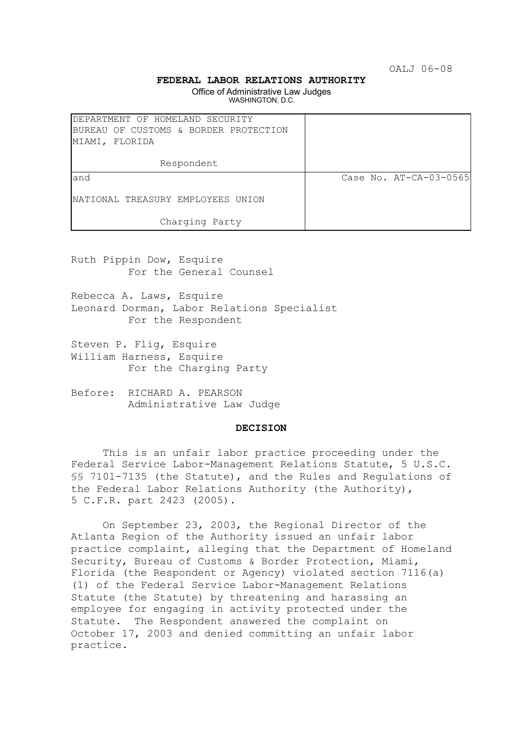OALJ 06-08

## **FEDERAL LABOR RELATIONS AUTHORITY**

Office of Administrative Law Judges WASHINGTON, D.C.

| DEPARTMENT OF HOMELAND SECURITY<br>BUREAU OF CUSTOMS & BORDER PROTECTION<br>MIAMI, FLORIDA |                        |
|--------------------------------------------------------------------------------------------|------------------------|
| Respondent                                                                                 |                        |
| land                                                                                       | Case No. AT-CA-03-0565 |
| NATIONAL TREASURY EMPLOYEES UNION                                                          |                        |
| Charging Party                                                                             |                        |

Ruth Pippin Dow, Esquire For the General Counsel

Rebecca A. Laws, Esquire Leonard Dorman, Labor Relations Specialist For the Respondent

- Steven P. Flig, Esquire William Harness, Esquire For the Charging Party
- Before: RICHARD A. PEARSON Administrative Law Judge

#### **DECISION**

This is an unfair labor practice proceeding under the Federal Service Labor-Management Relations Statute, 5 U.S.C. §§ 7101-7135 (the Statute), and the Rules and Regulations of the Federal Labor Relations Authority (the Authority), 5 C.F.R. part 2423 (2005).

On September 23, 2003, the Regional Director of the Atlanta Region of the Authority issued an unfair labor practice complaint, alleging that the Department of Homeland Security, Bureau of Customs & Border Protection, Miami, Florida (the Respondent or Agency) violated section 7116(a) (1) of the Federal Service Labor-Management Relations Statute (the Statute) by threatening and harassing an employee for engaging in activity protected under the Statute. The Respondent answered the complaint on October 17, 2003 and denied committing an unfair labor practice.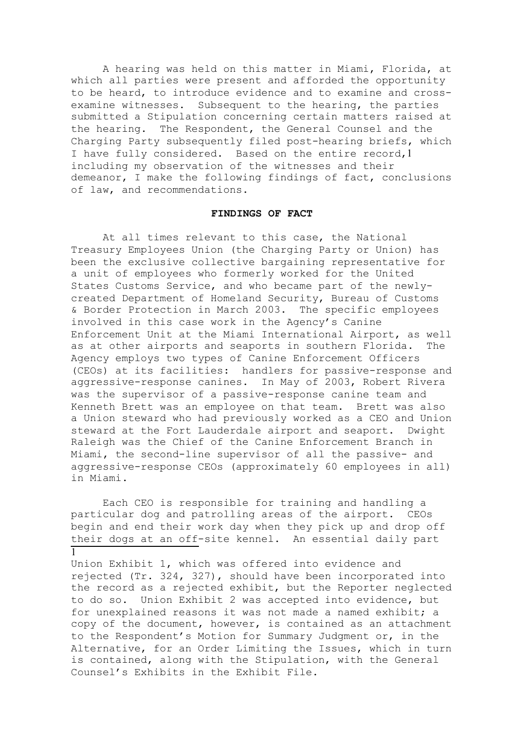A hearing was held on this matter in Miami, Florida, at which all parties were present and afforded the opportunity to be heard, to introduce evidence and to examine and crossexamine witnesses. Subsequent to the hearing, the parties submitted a Stipulation concerning certain matters raised at the hearing. The Respondent, the General Counsel and the Charging Party subsequently filed post-hearing briefs, which I have fully considered. Based on the entire record,1 including my observation of the witnesses and their demeanor, I make the following findings of fact, conclusions of law, and recommendations.

#### **FINDINGS OF FACT**

At all times relevant to this case, the National Treasury Employees Union (the Charging Party or Union) has been the exclusive collective bargaining representative for a unit of employees who formerly worked for the United States Customs Service, and who became part of the newlycreated Department of Homeland Security, Bureau of Customs & Border Protection in March 2003. The specific employees involved in this case work in the Agency's Canine Enforcement Unit at the Miami International Airport, as well as at other airports and seaports in southern Florida. The Agency employs two types of Canine Enforcement Officers (CEOs) at its facilities: handlers for passive-response and aggressive-response canines. In May of 2003, Robert Rivera was the supervisor of a passive-response canine team and Kenneth Brett was an employee on that team. Brett was also a Union steward who had previously worked as a CEO and Union steward at the Fort Lauderdale airport and seaport. Dwight Raleigh was the Chief of the Canine Enforcement Branch in Miami, the second-line supervisor of all the passive- and aggressive-response CEOs (approximately 60 employees in all) in Miami.

Each CEO is responsible for training and handling a particular dog and patrolling areas of the airport. CEOs begin and end their work day when they pick up and drop off their dogs at an off-site kennel. An essential daily part 1

Union Exhibit 1, which was offered into evidence and rejected (Tr. 324, 327), should have been incorporated into the record as a rejected exhibit, but the Reporter neglected to do so. Union Exhibit 2 was accepted into evidence, but for unexplained reasons it was not made a named exhibit; a copy of the document, however, is contained as an attachment to the Respondent's Motion for Summary Judgment or, in the Alternative, for an Order Limiting the Issues, which in turn is contained, along with the Stipulation, with the General Counsel's Exhibits in the Exhibit File.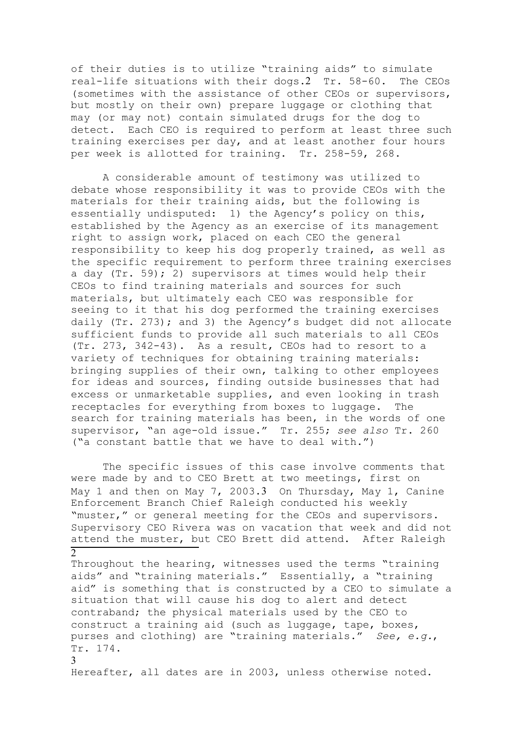of their duties is to utilize "training aids" to simulate real-life situations with their dogs.2 Tr. 58-60. The CEOs (sometimes with the assistance of other CEOs or supervisors, but mostly on their own) prepare luggage or clothing that may (or may not) contain simulated drugs for the dog to detect. Each CEO is required to perform at least three such training exercises per day, and at least another four hours per week is allotted for training. Tr. 258-59, 268.

A considerable amount of testimony was utilized to debate whose responsibility it was to provide CEOs with the materials for their training aids, but the following is essentially undisputed: 1) the Agency's policy on this, established by the Agency as an exercise of its management right to assign work, placed on each CEO the general responsibility to keep his dog properly trained, as well as the specific requirement to perform three training exercises a day  $(Tr. 59)$ ; 2) supervisors at times would help their CEOs to find training materials and sources for such materials, but ultimately each CEO was responsible for seeing to it that his dog performed the training exercises daily (Tr. 273); and 3) the Agency's budget did not allocate sufficient funds to provide all such materials to all CEOs (Tr. 273, 342-43). As a result, CEOs had to resort to a variety of techniques for obtaining training materials: bringing supplies of their own, talking to other employees for ideas and sources, finding outside businesses that had excess or unmarketable supplies, and even looking in trash receptacles for everything from boxes to luggage. The search for training materials has been, in the words of one supervisor, "an age-old issue." Tr. 255; *see also* Tr. 260 ("a constant battle that we have to deal with.")

The specific issues of this case involve comments that were made by and to CEO Brett at two meetings, first on May 1 and then on May 7, 2003.3 On Thursday, May 1, Canine Enforcement Branch Chief Raleigh conducted his weekly "muster," or general meeting for the CEOs and supervisors. Supervisory CEO Rivera was on vacation that week and did not attend the muster, but CEO Brett did attend. After Raleigh 2

Throughout the hearing, witnesses used the terms "training aids" and "training materials." Essentially, a "training aid" is something that is constructed by a CEO to simulate a situation that will cause his dog to alert and detect contraband; the physical materials used by the CEO to construct a training aid (such as luggage, tape, boxes, purses and clothing) are "training materials." *See, e.g.*, Tr. 174. 3

Hereafter, all dates are in 2003, unless otherwise noted.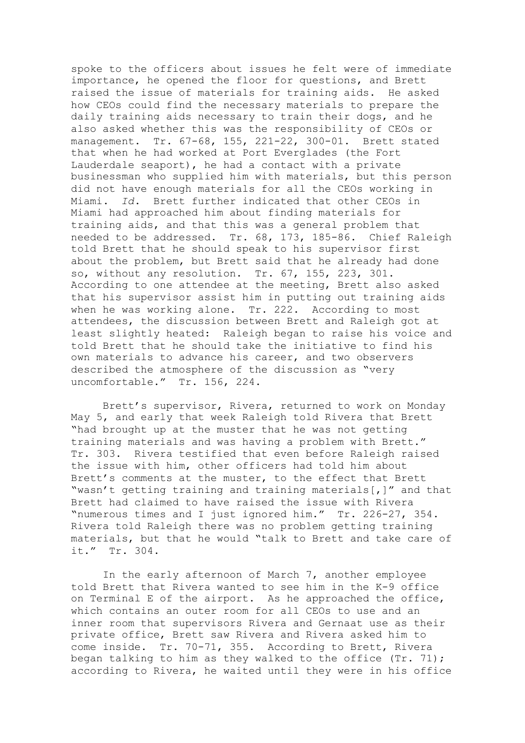spoke to the officers about issues he felt were of immediate importance, he opened the floor for questions, and Brett raised the issue of materials for training aids. He asked how CEOs could find the necessary materials to prepare the daily training aids necessary to train their dogs, and he also asked whether this was the responsibility of CEOs or management. Tr. 67-68, 155, 221-22, 300-01. Brett stated that when he had worked at Port Everglades (the Fort Lauderdale seaport), he had a contact with a private businessman who supplied him with materials, but this person did not have enough materials for all the CEOs working in Miami. *Id*. Brett further indicated that other CEOs in Miami had approached him about finding materials for training aids, and that this was a general problem that needed to be addressed. Tr. 68, 173, 185-86. Chief Raleigh told Brett that he should speak to his supervisor first about the problem, but Brett said that he already had done so, without any resolution. Tr. 67, 155, 223, 301. According to one attendee at the meeting, Brett also asked that his supervisor assist him in putting out training aids when he was working alone. Tr. 222. According to most attendees, the discussion between Brett and Raleigh got at least slightly heated: Raleigh began to raise his voice and told Brett that he should take the initiative to find his own materials to advance his career, and two observers described the atmosphere of the discussion as "very uncomfortable." Tr. 156, 224.

Brett's supervisor, Rivera, returned to work on Monday May 5, and early that week Raleigh told Rivera that Brett "had brought up at the muster that he was not getting training materials and was having a problem with Brett." Tr. 303. Rivera testified that even before Raleigh raised the issue with him, other officers had told him about Brett's comments at the muster, to the effect that Brett "wasn't getting training and training materials[,]" and that Brett had claimed to have raised the issue with Rivera "numerous times and I just ignored him." Tr. 226-27, 354. Rivera told Raleigh there was no problem getting training materials, but that he would "talk to Brett and take care of it." Tr. 304.

In the early afternoon of March 7, another employee told Brett that Rivera wanted to see him in the K-9 office on Terminal E of the airport. As he approached the office, which contains an outer room for all CEOs to use and an inner room that supervisors Rivera and Gernaat use as their private office, Brett saw Rivera and Rivera asked him to come inside. Tr. 70-71, 355. According to Brett, Rivera began talking to him as they walked to the office (Tr. 71); according to Rivera, he waited until they were in his office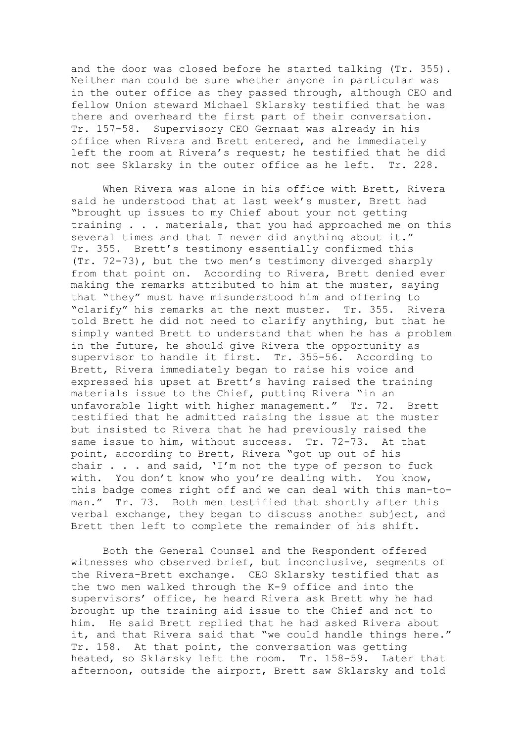and the door was closed before he started talking (Tr. 355). Neither man could be sure whether anyone in particular was in the outer office as they passed through, although CEO and fellow Union steward Michael Sklarsky testified that he was there and overheard the first part of their conversation. Tr. 157-58. Supervisory CEO Gernaat was already in his office when Rivera and Brett entered, and he immediately left the room at Rivera's request; he testified that he did not see Sklarsky in the outer office as he left. Tr. 228.

When Rivera was alone in his office with Brett, Rivera said he understood that at last week's muster, Brett had "brought up issues to my Chief about your not getting training . . . materials, that you had approached me on this several times and that I never did anything about it." Tr. 355. Brett's testimony essentially confirmed this (Tr. 72-73), but the two men's testimony diverged sharply from that point on. According to Rivera, Brett denied ever making the remarks attributed to him at the muster, saying that "they" must have misunderstood him and offering to "clarify" his remarks at the next muster. Tr. 355. Rivera told Brett he did not need to clarify anything, but that he simply wanted Brett to understand that when he has a problem in the future, he should give Rivera the opportunity as supervisor to handle it first. Tr. 355-56. According to Brett, Rivera immediately began to raise his voice and expressed his upset at Brett's having raised the training materials issue to the Chief, putting Rivera "in an unfavorable light with higher management." Tr. 72. Brett testified that he admitted raising the issue at the muster but insisted to Rivera that he had previously raised the same issue to him, without success. Tr. 72-73. At that point, according to Brett, Rivera "got up out of his chair . . . and said, 'I'm not the type of person to fuck with. You don't know who you're dealing with. You know, this badge comes right off and we can deal with this man-toman." Tr. 73. Both men testified that shortly after this verbal exchange, they began to discuss another subject, and Brett then left to complete the remainder of his shift.

Both the General Counsel and the Respondent offered witnesses who observed brief, but inconclusive, segments of the Rivera-Brett exchange. CEO Sklarsky testified that as the two men walked through the K-9 office and into the supervisors' office, he heard Rivera ask Brett why he had brought up the training aid issue to the Chief and not to him. He said Brett replied that he had asked Rivera about it, and that Rivera said that "we could handle things here." Tr. 158. At that point, the conversation was getting heated, so Sklarsky left the room. Tr. 158-59. Later that afternoon, outside the airport, Brett saw Sklarsky and told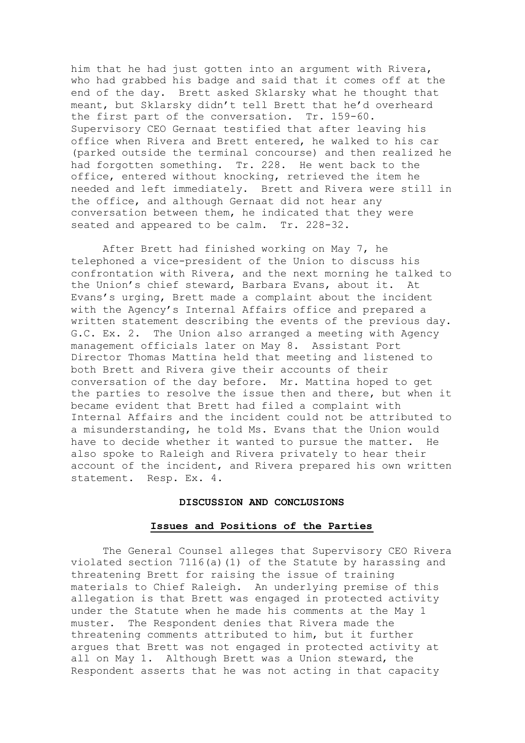him that he had just gotten into an argument with Rivera, who had grabbed his badge and said that it comes off at the end of the day. Brett asked Sklarsky what he thought that meant, but Sklarsky didn't tell Brett that he'd overheard the first part of the conversation. Tr. 159-60. Supervisory CEO Gernaat testified that after leaving his office when Rivera and Brett entered, he walked to his car (parked outside the terminal concourse) and then realized he had forgotten something. Tr. 228. He went back to the office, entered without knocking, retrieved the item he needed and left immediately. Brett and Rivera were still in the office, and although Gernaat did not hear any conversation between them, he indicated that they were seated and appeared to be calm. Tr. 228-32.

After Brett had finished working on May 7, he telephoned a vice-president of the Union to discuss his confrontation with Rivera, and the next morning he talked to the Union's chief steward, Barbara Evans, about it. At Evans's urging, Brett made a complaint about the incident with the Agency's Internal Affairs office and prepared a written statement describing the events of the previous day. G.C. Ex. 2. The Union also arranged a meeting with Agency management officials later on May 8. Assistant Port Director Thomas Mattina held that meeting and listened to both Brett and Rivera give their accounts of their conversation of the day before. Mr. Mattina hoped to get the parties to resolve the issue then and there, but when it became evident that Brett had filed a complaint with Internal Affairs and the incident could not be attributed to a misunderstanding, he told Ms. Evans that the Union would have to decide whether it wanted to pursue the matter. He also spoke to Raleigh and Rivera privately to hear their account of the incident, and Rivera prepared his own written statement. Resp. Ex. 4.

#### **DISCUSSION AND CONCLUSIONS**

# **Issues and Positions of the Parties**

The General Counsel alleges that Supervisory CEO Rivera violated section  $7116(a)(1)$  of the Statute by harassing and threatening Brett for raising the issue of training materials to Chief Raleigh. An underlying premise of this allegation is that Brett was engaged in protected activity under the Statute when he made his comments at the May 1 muster. The Respondent denies that Rivera made the threatening comments attributed to him, but it further argues that Brett was not engaged in protected activity at all on May 1. Although Brett was a Union steward, the Respondent asserts that he was not acting in that capacity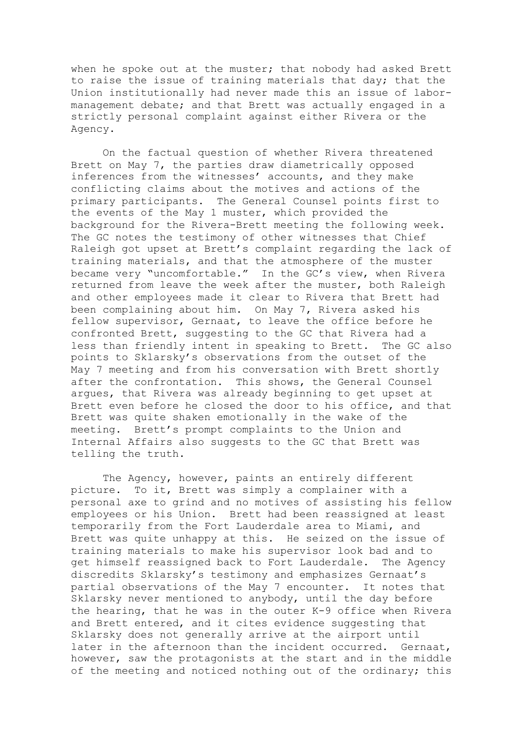when he spoke out at the muster; that nobody had asked Brett to raise the issue of training materials that day; that the Union institutionally had never made this an issue of labormanagement debate; and that Brett was actually engaged in a strictly personal complaint against either Rivera or the Agency.

On the factual question of whether Rivera threatened Brett on May 7, the parties draw diametrically opposed inferences from the witnesses' accounts, and they make conflicting claims about the motives and actions of the primary participants. The General Counsel points first to the events of the May 1 muster, which provided the background for the Rivera-Brett meeting the following week. The GC notes the testimony of other witnesses that Chief Raleigh got upset at Brett's complaint regarding the lack of training materials, and that the atmosphere of the muster became very "uncomfortable." In the GC's view, when Rivera returned from leave the week after the muster, both Raleigh and other employees made it clear to Rivera that Brett had been complaining about him. On May 7, Rivera asked his fellow supervisor, Gernaat, to leave the office before he confronted Brett, suggesting to the GC that Rivera had a less than friendly intent in speaking to Brett. The GC also points to Sklarsky's observations from the outset of the May 7 meeting and from his conversation with Brett shortly after the confrontation. This shows, the General Counsel argues, that Rivera was already beginning to get upset at Brett even before he closed the door to his office, and that Brett was quite shaken emotionally in the wake of the meeting. Brett's prompt complaints to the Union and Internal Affairs also suggests to the GC that Brett was telling the truth.

The Agency, however, paints an entirely different picture. To it, Brett was simply a complainer with a personal axe to grind and no motives of assisting his fellow employees or his Union. Brett had been reassigned at least temporarily from the Fort Lauderdale area to Miami, and Brett was quite unhappy at this. He seized on the issue of training materials to make his supervisor look bad and to get himself reassigned back to Fort Lauderdale. The Agency discredits Sklarsky's testimony and emphasizes Gernaat's partial observations of the May 7 encounter. It notes that Sklarsky never mentioned to anybody, until the day before the hearing, that he was in the outer K-9 office when Rivera and Brett entered, and it cites evidence suggesting that Sklarsky does not generally arrive at the airport until later in the afternoon than the incident occurred. Gernaat, however, saw the protagonists at the start and in the middle of the meeting and noticed nothing out of the ordinary; this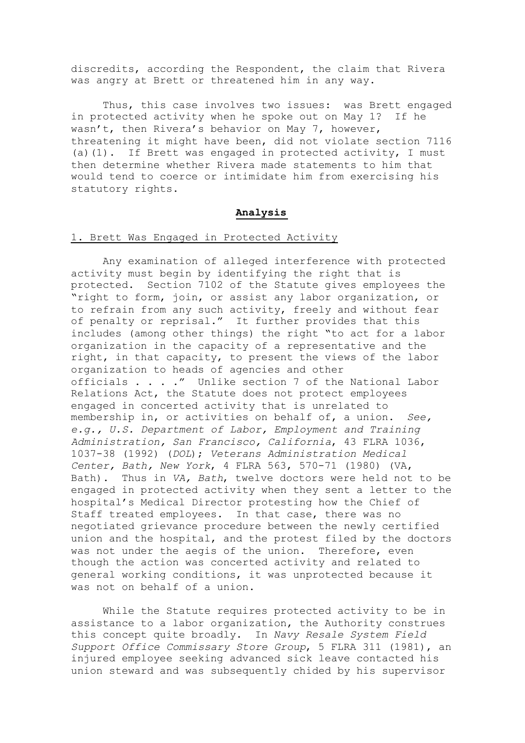discredits, according the Respondent, the claim that Rivera was angry at Brett or threatened him in any way.

Thus, this case involves two issues: was Brett engaged in protected activity when he spoke out on May 1? If he wasn't, then Rivera's behavior on May 7, however, threatening it might have been, did not violate section 7116 (a)(1). If Brett was engaged in protected activity, I must then determine whether Rivera made statements to him that would tend to coerce or intimidate him from exercising his statutory rights.

# **Analysis**

# 1. Brett Was Engaged in Protected Activity

Any examination of alleged interference with protected activity must begin by identifying the right that is protected. Section 7102 of the Statute gives employees the "right to form, join, or assist any labor organization, or to refrain from any such activity, freely and without fear of penalty or reprisal." It further provides that this includes (among other things) the right "to act for a labor organization in the capacity of a representative and the right, in that capacity, to present the views of the labor organization to heads of agencies and other officials . . . ." Unlike section 7 of the National Labor Relations Act, the Statute does not protect employees engaged in concerted activity that is unrelated to membership in, or activities on behalf of, a union. *See, e.g., U.S. Department of Labor, Employment and Training Administration, San Francisco, California*, 43 FLRA 1036, 1037-38 (1992) (*DOL*); *Veterans Administration Medical Center, Bath, New York*, 4 FLRA 563, 570-71 (1980) (VA, Bath). Thus in *VA, Bath*, twelve doctors were held not to be engaged in protected activity when they sent a letter to the hospital's Medical Director protesting how the Chief of Staff treated employees. In that case, there was no negotiated grievance procedure between the newly certified union and the hospital, and the protest filed by the doctors was not under the aegis of the union. Therefore, even though the action was concerted activity and related to general working conditions, it was unprotected because it was not on behalf of a union.

While the Statute requires protected activity to be in assistance to a labor organization, the Authority construes this concept quite broadly. In *Navy Resale System Field Support Office Commissary Store Group*, 5 FLRA 311 (1981), an injured employee seeking advanced sick leave contacted his union steward and was subsequently chided by his supervisor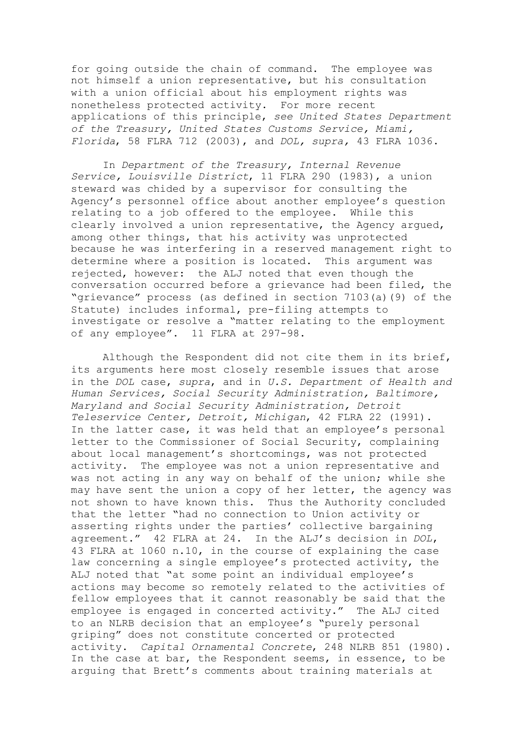for going outside the chain of command. The employee was not himself a union representative, but his consultation with a union official about his employment rights was nonetheless protected activity. For more recent applications of this principle, *see United States Department of the Treasury, United States Customs Service, Miami, Florida*, 58 FLRA 712 (2003), and *DOL, supra,* 43 FLRA 1036.

In *Department of the Treasury, Internal Revenue Service, Louisville District*, 11 FLRA 290 (1983), a union steward was chided by a supervisor for consulting the Agency's personnel office about another employee's question relating to a job offered to the employee. While this clearly involved a union representative, the Agency argued, among other things, that his activity was unprotected because he was interfering in a reserved management right to determine where a position is located. This argument was rejected, however: the ALJ noted that even though the conversation occurred before a grievance had been filed, the "grievance" process (as defined in section 7103(a)(9) of the Statute) includes informal, pre-filing attempts to investigate or resolve a "matter relating to the employment of any employee". 11 FLRA at 297-98.

Although the Respondent did not cite them in its brief, its arguments here most closely resemble issues that arose in the *DOL* case, *supra*, and in *U.S. Department of Health and Human Services, Social Security Administration, Baltimore, Maryland and Social Security Administration, Detroit Teleservice Center, Detroit, Michigan*, 42 FLRA 22 (1991). In the latter case, it was held that an employee's personal letter to the Commissioner of Social Security, complaining about local management's shortcomings, was not protected activity. The employee was not a union representative and was not acting in any way on behalf of the union; while she may have sent the union a copy of her letter, the agency was not shown to have known this. Thus the Authority concluded that the letter "had no connection to Union activity or asserting rights under the parties' collective bargaining agreement." 42 FLRA at 24. In the ALJ's decision in *DOL*, 43 FLRA at 1060 n.10, in the course of explaining the case law concerning a single employee's protected activity, the ALJ noted that "at some point an individual employee's actions may become so remotely related to the activities of fellow employees that it cannot reasonably be said that the employee is engaged in concerted activity." The ALJ cited to an NLRB decision that an employee's "purely personal griping" does not constitute concerted or protected activity. *Capital Ornamental Concrete*, 248 NLRB 851 (1980). In the case at bar, the Respondent seems, in essence, to be arguing that Brett's comments about training materials at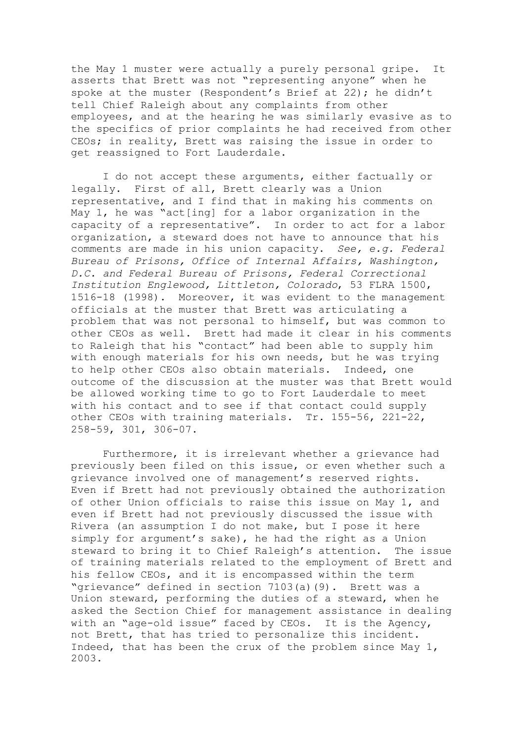the May 1 muster were actually a purely personal gripe. It asserts that Brett was not "representing anyone" when he spoke at the muster (Respondent's Brief at 22); he didn't tell Chief Raleigh about any complaints from other employees, and at the hearing he was similarly evasive as to the specifics of prior complaints he had received from other CEOs; in reality, Brett was raising the issue in order to get reassigned to Fort Lauderdale.

I do not accept these arguments, either factually or legally. First of all, Brett clearly was a Union representative, and I find that in making his comments on May 1, he was "act[ing] for a labor organization in the capacity of a representative". In order to act for a labor organization, a steward does not have to announce that his comments are made in his union capacity. *See, e.g. Federal Bureau of Prisons, Office of Internal Affairs, Washington, D.C. and Federal Bureau of Prisons, Federal Correctional Institution Englewood, Littleton, Colorado*, 53 FLRA 1500, 1516-18 (1998). Moreover, it was evident to the management officials at the muster that Brett was articulating a problem that was not personal to himself, but was common to other CEOs as well. Brett had made it clear in his comments to Raleigh that his "contact" had been able to supply him with enough materials for his own needs, but he was trying to help other CEOs also obtain materials. Indeed, one outcome of the discussion at the muster was that Brett would be allowed working time to go to Fort Lauderdale to meet with his contact and to see if that contact could supply other CEOs with training materials. Tr. 155-56, 221-22, 258-59, 301, 306-07.

Furthermore, it is irrelevant whether a grievance had previously been filed on this issue, or even whether such a grievance involved one of management's reserved rights. Even if Brett had not previously obtained the authorization of other Union officials to raise this issue on May 1, and even if Brett had not previously discussed the issue with Rivera (an assumption I do not make, but I pose it here simply for argument's sake), he had the right as a Union steward to bring it to Chief Raleigh's attention. The issue of training materials related to the employment of Brett and his fellow CEOs, and it is encompassed within the term "grievance" defined in section 7103(a)(9). Brett was a Union steward, performing the duties of a steward, when he asked the Section Chief for management assistance in dealing with an "age-old issue" faced by CEOs. It is the Agency, not Brett, that has tried to personalize this incident. Indeed, that has been the crux of the problem since May 1, 2003.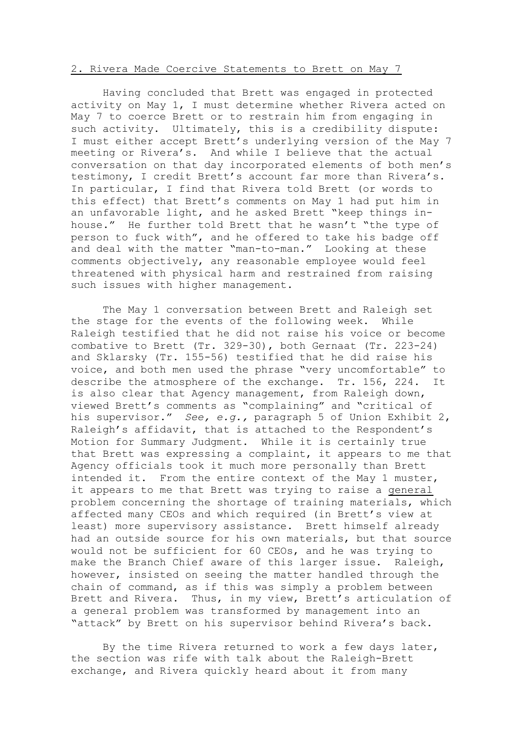## 2. Rivera Made Coercive Statements to Brett on May 7

Having concluded that Brett was engaged in protected activity on May 1, I must determine whether Rivera acted on May 7 to coerce Brett or to restrain him from engaging in such activity. Ultimately, this is a credibility dispute: I must either accept Brett's underlying version of the May 7 meeting or Rivera's. And while I believe that the actual conversation on that day incorporated elements of both men's testimony, I credit Brett's account far more than Rivera's. In particular, I find that Rivera told Brett (or words to this effect) that Brett's comments on May 1 had put him in an unfavorable light, and he asked Brett "keep things inhouse." He further told Brett that he wasn't "the type of person to fuck with", and he offered to take his badge off and deal with the matter "man-to-man." Looking at these comments objectively, any reasonable employee would feel threatened with physical harm and restrained from raising such issues with higher management.

The May 1 conversation between Brett and Raleigh set the stage for the events of the following week. While Raleigh testified that he did not raise his voice or become combative to Brett (Tr. 329-30), both Gernaat (Tr. 223-24) and Sklarsky (Tr. 155-56) testified that he did raise his voice, and both men used the phrase "very uncomfortable" to describe the atmosphere of the exchange. Tr. 156, 224. It is also clear that Agency management, from Raleigh down, viewed Brett's comments as "complaining" and "critical of his supervisor." *See, e.g.,* paragraph 5 of Union Exhibit 2, Raleigh's affidavit, that is attached to the Respondent's Motion for Summary Judgment. While it is certainly true that Brett was expressing a complaint, it appears to me that Agency officials took it much more personally than Brett intended it. From the entire context of the May 1 muster, it appears to me that Brett was trying to raise a general problem concerning the shortage of training materials, which affected many CEOs and which required (in Brett's view at least) more supervisory assistance. Brett himself already had an outside source for his own materials, but that source would not be sufficient for 60 CEOs, and he was trying to make the Branch Chief aware of this larger issue. Raleigh, however, insisted on seeing the matter handled through the chain of command, as if this was simply a problem between Brett and Rivera. Thus, in my view, Brett's articulation of a general problem was transformed by management into an "attack" by Brett on his supervisor behind Rivera's back.

By the time Rivera returned to work a few days later, the section was rife with talk about the Raleigh-Brett exchange, and Rivera quickly heard about it from many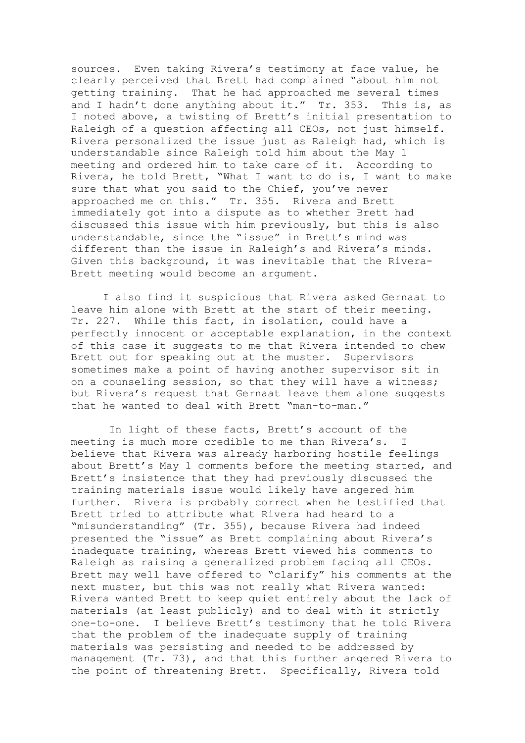sources. Even taking Rivera's testimony at face value, he clearly perceived that Brett had complained "about him not getting training. That he had approached me several times and I hadn't done anything about it." Tr. 353. This is, as I noted above, a twisting of Brett's initial presentation to Raleigh of a question affecting all CEOs, not just himself. Rivera personalized the issue just as Raleigh had, which is understandable since Raleigh told him about the May 1 meeting and ordered him to take care of it. According to Rivera, he told Brett, "What I want to do is, I want to make sure that what you said to the Chief, you've never approached me on this." Tr. 355. Rivera and Brett immediately got into a dispute as to whether Brett had discussed this issue with him previously, but this is also understandable, since the "issue" in Brett's mind was different than the issue in Raleigh's and Rivera's minds. Given this background, it was inevitable that the Rivera-Brett meeting would become an argument.

I also find it suspicious that Rivera asked Gernaat to leave him alone with Brett at the start of their meeting. Tr. 227. While this fact, in isolation, could have a perfectly innocent or acceptable explanation, in the context of this case it suggests to me that Rivera intended to chew Brett out for speaking out at the muster. Supervisors sometimes make a point of having another supervisor sit in on a counseling session, so that they will have a witness; but Rivera's request that Gernaat leave them alone suggests that he wanted to deal with Brett "man-to-man."

 In light of these facts, Brett's account of the meeting is much more credible to me than Rivera's. I believe that Rivera was already harboring hostile feelings about Brett's May 1 comments before the meeting started, and Brett's insistence that they had previously discussed the training materials issue would likely have angered him further. Rivera is probably correct when he testified that Brett tried to attribute what Rivera had heard to a "misunderstanding" (Tr. 355), because Rivera had indeed presented the "issue" as Brett complaining about Rivera's inadequate training, whereas Brett viewed his comments to Raleigh as raising a generalized problem facing all CEOs. Brett may well have offered to "clarify" his comments at the next muster, but this was not really what Rivera wanted: Rivera wanted Brett to keep quiet entirely about the lack of materials (at least publicly) and to deal with it strictly one-to-one. I believe Brett's testimony that he told Rivera that the problem of the inadequate supply of training materials was persisting and needed to be addressed by management (Tr. 73), and that this further angered Rivera to the point of threatening Brett. Specifically, Rivera told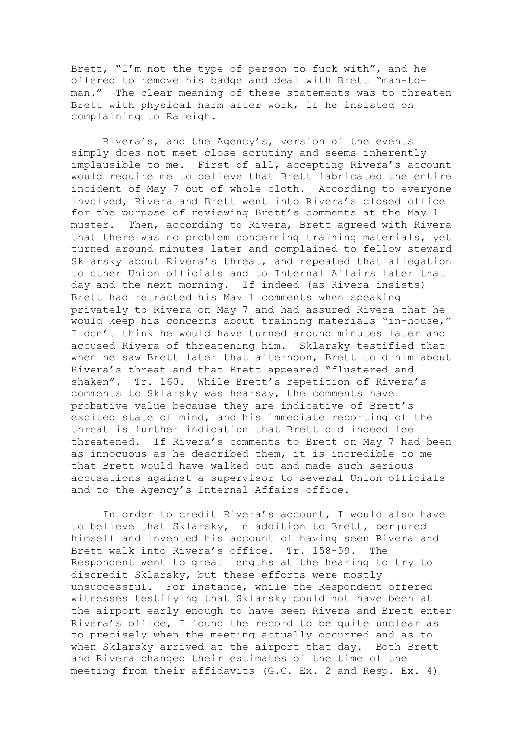Brett, "I'm not the type of person to fuck with", and he offered to remove his badge and deal with Brett "man-toman." The clear meaning of these statements was to threaten Brett with physical harm after work, if he insisted on complaining to Raleigh.

Rivera's, and the Agency's, version of the events simply does not meet close scrutiny and seems inherently implausible to me. First of all, accepting Rivera's account would require me to believe that Brett fabricated the entire incident of May 7 out of whole cloth. According to everyone involved, Rivera and Brett went into Rivera's closed office for the purpose of reviewing Brett's comments at the May 1 muster. Then, according to Rivera, Brett agreed with Rivera that there was no problem concerning training materials, yet turned around minutes later and complained to fellow steward Sklarsky about Rivera's threat, and repeated that allegation to other Union officials and to Internal Affairs later that day and the next morning. If indeed (as Rivera insists) Brett had retracted his May 1 comments when speaking privately to Rivera on May 7 and had assured Rivera that he would keep his concerns about training materials "in-house," I don't think he would have turned around minutes later and accused Rivera of threatening him. Sklarsky testified that when he saw Brett later that afternoon, Brett told him about Rivera's threat and that Brett appeared "flustered and shaken". Tr. 160. While Brett's repetition of Rivera's comments to Sklarsky was hearsay, the comments have probative value because they are indicative of Brett's excited state of mind, and his immediate reporting of the threat is further indication that Brett did indeed feel threatened. If Rivera's comments to Brett on May 7 had been as innocuous as he described them, it is incredible to me that Brett would have walked out and made such serious accusations against a supervisor to several Union officials and to the Agency's Internal Affairs office.

In order to credit Rivera's account, I would also have to believe that Sklarsky, in addition to Brett, perjured himself and invented his account of having seen Rivera and Brett walk into Rivera's office. Tr. 158-59. The Respondent went to great lengths at the hearing to try to discredit Sklarsky, but these efforts were mostly unsuccessful. For instance, while the Respondent offered witnesses testifying that Sklarsky could not have been at the airport early enough to have seen Rivera and Brett enter Rivera's office, I found the record to be quite unclear as to precisely when the meeting actually occurred and as to when Sklarsky arrived at the airport that day. Both Brett and Rivera changed their estimates of the time of the meeting from their affidavits (G.C. Ex. 2 and Resp. Ex. 4)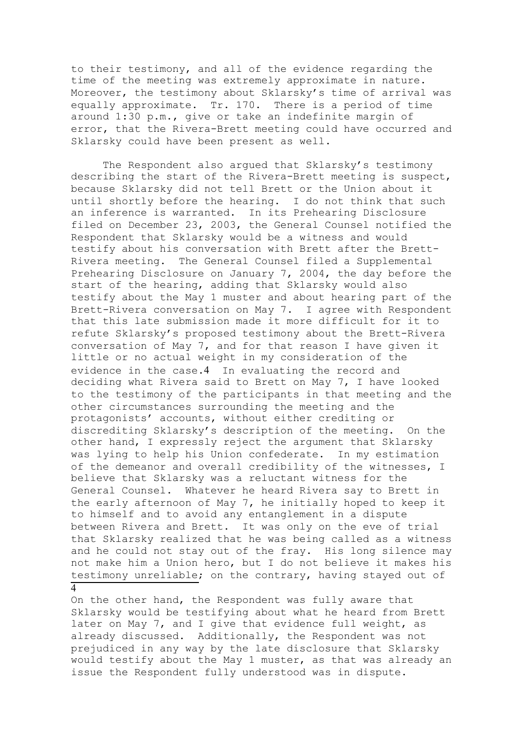to their testimony, and all of the evidence regarding the time of the meeting was extremely approximate in nature. Moreover, the testimony about Sklarsky's time of arrival was equally approximate. Tr. 170. There is a period of time around 1:30 p.m., give or take an indefinite margin of error, that the Rivera-Brett meeting could have occurred and Sklarsky could have been present as well.

The Respondent also argued that Sklarsky's testimony describing the start of the Rivera-Brett meeting is suspect, because Sklarsky did not tell Brett or the Union about it until shortly before the hearing. I do not think that such an inference is warranted. In its Prehearing Disclosure filed on December 23, 2003, the General Counsel notified the Respondent that Sklarsky would be a witness and would testify about his conversation with Brett after the Brett-Rivera meeting. The General Counsel filed a Supplemental Prehearing Disclosure on January 7, 2004, the day before the start of the hearing, adding that Sklarsky would also testify about the May 1 muster and about hearing part of the Brett-Rivera conversation on May 7. I agree with Respondent that this late submission made it more difficult for it to refute Sklarsky's proposed testimony about the Brett-Rivera conversation of May 7, and for that reason I have given it little or no actual weight in my consideration of the evidence in the case.4 In evaluating the record and deciding what Rivera said to Brett on May 7, I have looked to the testimony of the participants in that meeting and the other circumstances surrounding the meeting and the protagonists' accounts, without either crediting or discrediting Sklarsky's description of the meeting. On the other hand, I expressly reject the argument that Sklarsky was lying to help his Union confederate. In my estimation of the demeanor and overall credibility of the witnesses, I believe that Sklarsky was a reluctant witness for the General Counsel. Whatever he heard Rivera say to Brett in the early afternoon of May 7, he initially hoped to keep it to himself and to avoid any entanglement in a dispute between Rivera and Brett. It was only on the eve of trial that Sklarsky realized that he was being called as a witness and he could not stay out of the fray. His long silence may not make him a Union hero, but I do not believe it makes his testimony unreliable; on the contrary, having stayed out of  $\overline{\Lambda}$ 

On the other hand, the Respondent was fully aware that Sklarsky would be testifying about what he heard from Brett later on May 7, and I give that evidence full weight, as already discussed. Additionally, the Respondent was not prejudiced in any way by the late disclosure that Sklarsky would testify about the May 1 muster, as that was already an issue the Respondent fully understood was in dispute.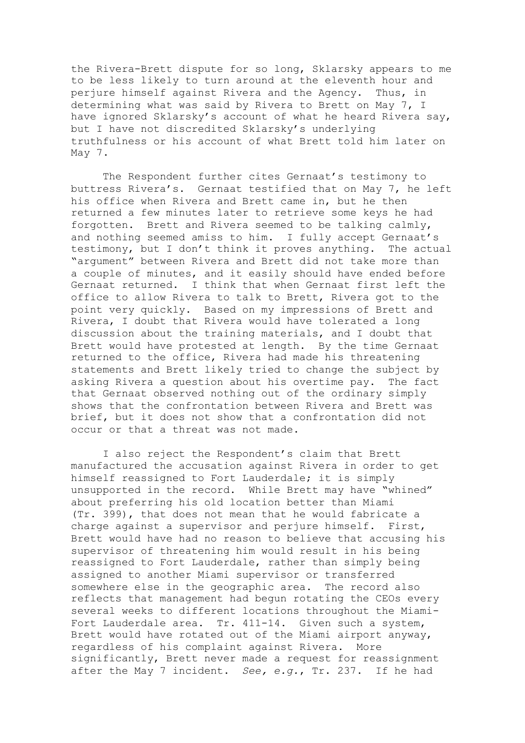the Rivera-Brett dispute for so long, Sklarsky appears to me to be less likely to turn around at the eleventh hour and perjure himself against Rivera and the Agency. Thus, in determining what was said by Rivera to Brett on May 7, I have ignored Sklarsky's account of what he heard Rivera say, but I have not discredited Sklarsky's underlying truthfulness or his account of what Brett told him later on May 7.

The Respondent further cites Gernaat's testimony to buttress Rivera's. Gernaat testified that on May 7, he left his office when Rivera and Brett came in, but he then returned a few minutes later to retrieve some keys he had forgotten. Brett and Rivera seemed to be talking calmly, and nothing seemed amiss to him. I fully accept Gernaat's testimony, but I don't think it proves anything. The actual "argument" between Rivera and Brett did not take more than a couple of minutes, and it easily should have ended before Gernaat returned. I think that when Gernaat first left the office to allow Rivera to talk to Brett, Rivera got to the point very quickly. Based on my impressions of Brett and Rivera, I doubt that Rivera would have tolerated a long discussion about the training materials, and I doubt that Brett would have protested at length. By the time Gernaat returned to the office, Rivera had made his threatening statements and Brett likely tried to change the subject by asking Rivera a question about his overtime pay. The fact that Gernaat observed nothing out of the ordinary simply shows that the confrontation between Rivera and Brett was brief, but it does not show that a confrontation did not occur or that a threat was not made.

 I also reject the Respondent's claim that Brett manufactured the accusation against Rivera in order to get himself reassigned to Fort Lauderdale; it is simply unsupported in the record. While Brett may have "whined" about preferring his old location better than Miami (Tr. 399), that does not mean that he would fabricate a charge against a supervisor and perjure himself. First, Brett would have had no reason to believe that accusing his supervisor of threatening him would result in his being reassigned to Fort Lauderdale, rather than simply being assigned to another Miami supervisor or transferred somewhere else in the geographic area. The record also reflects that management had begun rotating the CEOs every several weeks to different locations throughout the Miami-Fort Lauderdale area. Tr. 411-14. Given such a system, Brett would have rotated out of the Miami airport anyway, regardless of his complaint against Rivera. More significantly, Brett never made a request for reassignment after the May 7 incident. *See, e.g.*, Tr. 237. If he had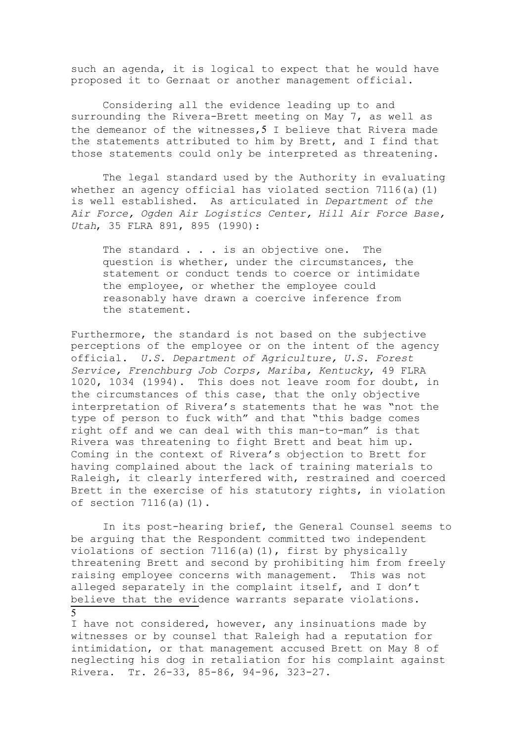such an agenda, it is logical to expect that he would have proposed it to Gernaat or another management official.

Considering all the evidence leading up to and surrounding the Rivera-Brett meeting on May 7, as well as the demeanor of the witnesses,  $5$  I believe that Rivera made the statements attributed to him by Brett, and I find that those statements could only be interpreted as threatening.

The legal standard used by the Authority in evaluating whether an agency official has violated section  $7116(a)(1)$ is well established. As articulated in *Department of the Air Force, Ogden Air Logistics Center, Hill Air Force Base, Utah*, 35 FLRA 891, 895 (1990):

The standard . . . is an objective one. The question is whether, under the circumstances, the statement or conduct tends to coerce or intimidate the employee, or whether the employee could reasonably have drawn a coercive inference from the statement.

Furthermore, the standard is not based on the subjective perceptions of the employee or on the intent of the agency official. *U.S. Department of Agriculture, U.S. Forest Service, Frenchburg Job Corps, Mariba, Kentucky*, 49 FLRA 1020, 1034 (1994). This does not leave room for doubt, in the circumstances of this case, that the only objective interpretation of Rivera's statements that he was "not the type of person to fuck with" and that "this badge comes right off and we can deal with this man-to-man" is that Rivera was threatening to fight Brett and beat him up. Coming in the context of Rivera's objection to Brett for having complained about the lack of training materials to Raleigh, it clearly interfered with, restrained and coerced Brett in the exercise of his statutory rights, in violation of section 7116(a)(1).

In its post-hearing brief, the General Counsel seems to be arguing that the Respondent committed two independent violations of section 7116(a)(1), first by physically threatening Brett and second by prohibiting him from freely raising employee concerns with management. This was not alleged separately in the complaint itself, and I don't believe that the evidence warrants separate violations.

I have not considered, however, any insinuations made by witnesses or by counsel that Raleigh had a reputation for intimidation, or that management accused Brett on May 8 of neglecting his dog in retaliation for his complaint against Rivera. Tr. 26-33, 85-86, 94-96, 323-27.

5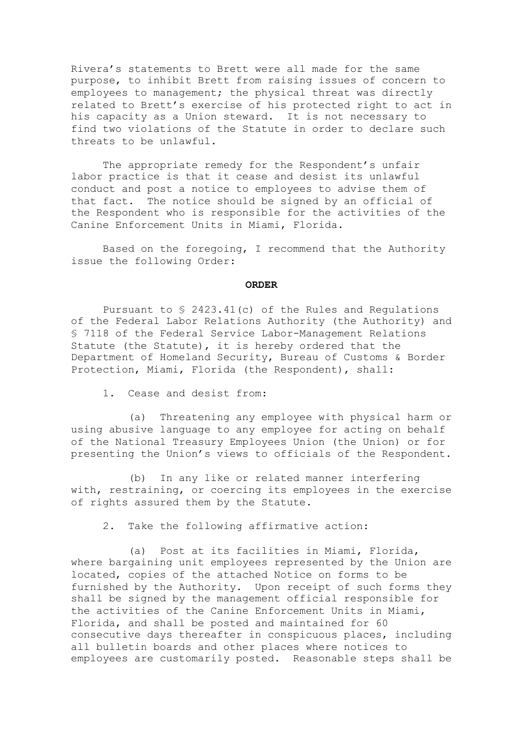Rivera's statements to Brett were all made for the same purpose, to inhibit Brett from raising issues of concern to employees to management; the physical threat was directly related to Brett's exercise of his protected right to act in his capacity as a Union steward. It is not necessary to find two violations of the Statute in order to declare such threats to be unlawful.

The appropriate remedy for the Respondent's unfair labor practice is that it cease and desist its unlawful conduct and post a notice to employees to advise them of that fact. The notice should be signed by an official of the Respondent who is responsible for the activities of the Canine Enforcement Units in Miami, Florida.

Based on the foregoing, I recommend that the Authority issue the following Order:

#### **ORDER**

Pursuant to § 2423.41(c) of the Rules and Regulations of the Federal Labor Relations Authority (the Authority) and § 7118 of the Federal Service Labor-Management Relations Statute (the Statute), it is hereby ordered that the Department of Homeland Security, Bureau of Customs & Border Protection, Miami, Florida (the Respondent), shall:

1. Cease and desist from:

 (a) Threatening any employee with physical harm or using abusive language to any employee for acting on behalf of the National Treasury Employees Union (the Union) or for presenting the Union's views to officials of the Respondent.

 (b) In any like or related manner interfering with, restraining, or coercing its employees in the exercise of rights assured them by the Statute.

2. Take the following affirmative action:

 (a) Post at its facilities in Miami, Florida, where bargaining unit employees represented by the Union are located, copies of the attached Notice on forms to be furnished by the Authority. Upon receipt of such forms they shall be signed by the management official responsible for the activities of the Canine Enforcement Units in Miami, Florida, and shall be posted and maintained for 60 consecutive days thereafter in conspicuous places, including all bulletin boards and other places where notices to employees are customarily posted. Reasonable steps shall be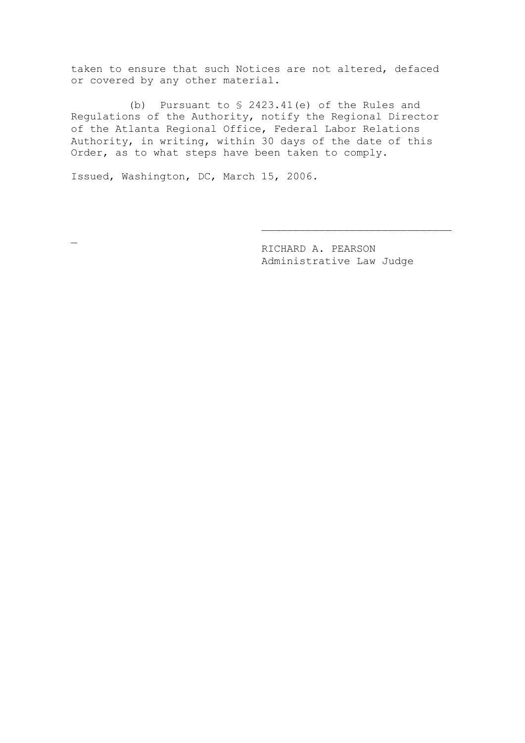taken to ensure that such Notices are not altered, defaced or covered by any other material.

 (b) Pursuant to § 2423.41(e) of the Rules and Regulations of the Authority, notify the Regional Director of the Atlanta Regional Office, Federal Labor Relations Authority, in writing, within 30 days of the date of this Order, as to what steps have been taken to comply.

Issued, Washington, DC, March 15, 2006.

 $\overline{a}$ 

RICHARD A. PEARSON Administrative Law Judge

 $\overline{\phantom{a}}$  , where  $\overline{\phantom{a}}$  , where  $\overline{\phantom{a}}$  ,  $\overline{\phantom{a}}$  ,  $\overline{\phantom{a}}$  ,  $\overline{\phantom{a}}$  ,  $\overline{\phantom{a}}$  ,  $\overline{\phantom{a}}$  ,  $\overline{\phantom{a}}$  ,  $\overline{\phantom{a}}$  ,  $\overline{\phantom{a}}$  ,  $\overline{\phantom{a}}$  ,  $\overline{\phantom{a}}$  ,  $\overline{\phantom{a}}$  ,  $\overline{\phantom{a}}$  ,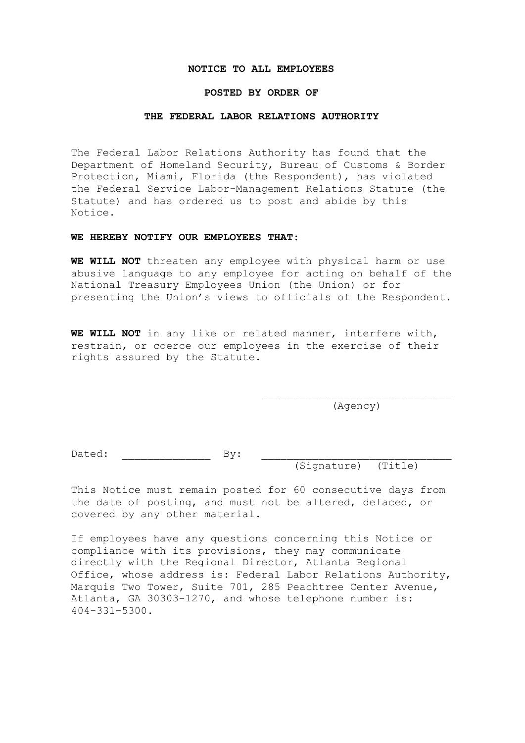#### **NOTICE TO ALL EMPLOYEES**

# **POSTED BY ORDER OF**

#### **THE FEDERAL LABOR RELATIONS AUTHORITY**

The Federal Labor Relations Authority has found that the Department of Homeland Security, Bureau of Customs & Border Protection, Miami, Florida (the Respondent), has violated the Federal Service Labor-Management Relations Statute (the Statute) and has ordered us to post and abide by this Notice.

# **WE HEREBY NOTIFY OUR EMPLOYEES THAT:**

**WE WILL NOT** threaten any employee with physical harm or use abusive language to any employee for acting on behalf of the National Treasury Employees Union (the Union) or for presenting the Union's views to officials of the Respondent.

**WE WILL NOT** in any like or related manner, interfere with, restrain, or coerce our employees in the exercise of their rights assured by the Statute.

> $\overline{\phantom{a}}$  , where  $\overline{\phantom{a}}$  , where  $\overline{\phantom{a}}$  ,  $\overline{\phantom{a}}$  ,  $\overline{\phantom{a}}$  ,  $\overline{\phantom{a}}$  ,  $\overline{\phantom{a}}$  ,  $\overline{\phantom{a}}$  ,  $\overline{\phantom{a}}$  ,  $\overline{\phantom{a}}$  ,  $\overline{\phantom{a}}$  ,  $\overline{\phantom{a}}$  ,  $\overline{\phantom{a}}$  ,  $\overline{\phantom{a}}$  ,  $\overline{\phantom{a}}$  , (Agency)

Dated: \_\_\_\_\_\_\_\_\_\_\_\_\_\_ By: \_\_\_\_\_\_\_\_\_\_\_\_\_\_\_\_\_\_\_\_\_\_\_\_\_\_\_\_\_\_

(Signature) (Title)

This Notice must remain posted for 60 consecutive days from the date of posting, and must not be altered, defaced, or covered by any other material.

If employees have any questions concerning this Notice or compliance with its provisions, they may communicate directly with the Regional Director, Atlanta Regional Office, whose address is: Federal Labor Relations Authority, Marquis Two Tower, Suite 701, 285 Peachtree Center Avenue, Atlanta, GA 30303-1270, and whose telephone number is: 404-331-5300.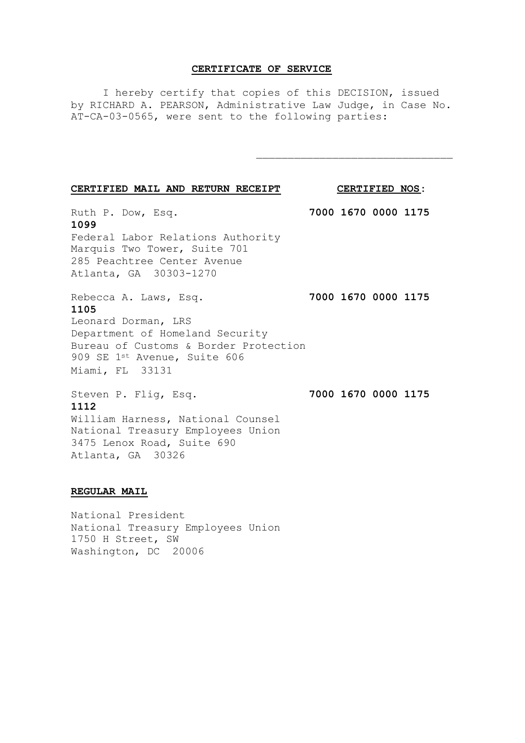## **CERTIFICATE OF SERVICE**

I hereby certify that copies of this DECISION, issued by RICHARD A. PEARSON, Administrative Law Judge, in Case No. AT-CA-03-0565, were sent to the following parties:

| CERTIFIED MAIL AND RETURN RECEIPT |  |  |
|-----------------------------------|--|--|
|                                   |  |  |

**CERTIFIED NOS:** 

\_\_\_\_\_\_\_\_\_\_\_\_\_\_\_\_\_\_\_\_\_\_\_\_\_\_\_\_\_\_\_

Ruth P. Dow, Esq. **7000 1670 0000 1175 1099** Federal Labor Relations Authority Marquis Two Tower, Suite 701 285 Peachtree Center Avenue Atlanta, GA 30303-1270

Rebecca A. Laws, Esq. **7000 1670 0000 1175 1105** Leonard Dorman, LRS Department of Homeland Security Bureau of Customs & Border Protection 909 SE 1st Avenue, Suite 606 Miami, FL 33131

**1112**

Steven P. Flig, Esq. **7000 1670 0000 1175** 

William Harness, National Counsel National Treasury Employees Union 3475 Lenox Road, Suite 690 Atlanta, GA 30326

# **REGULAR MAIL**

National President National Treasury Employees Union 1750 H Street, SW Washington, DC 20006